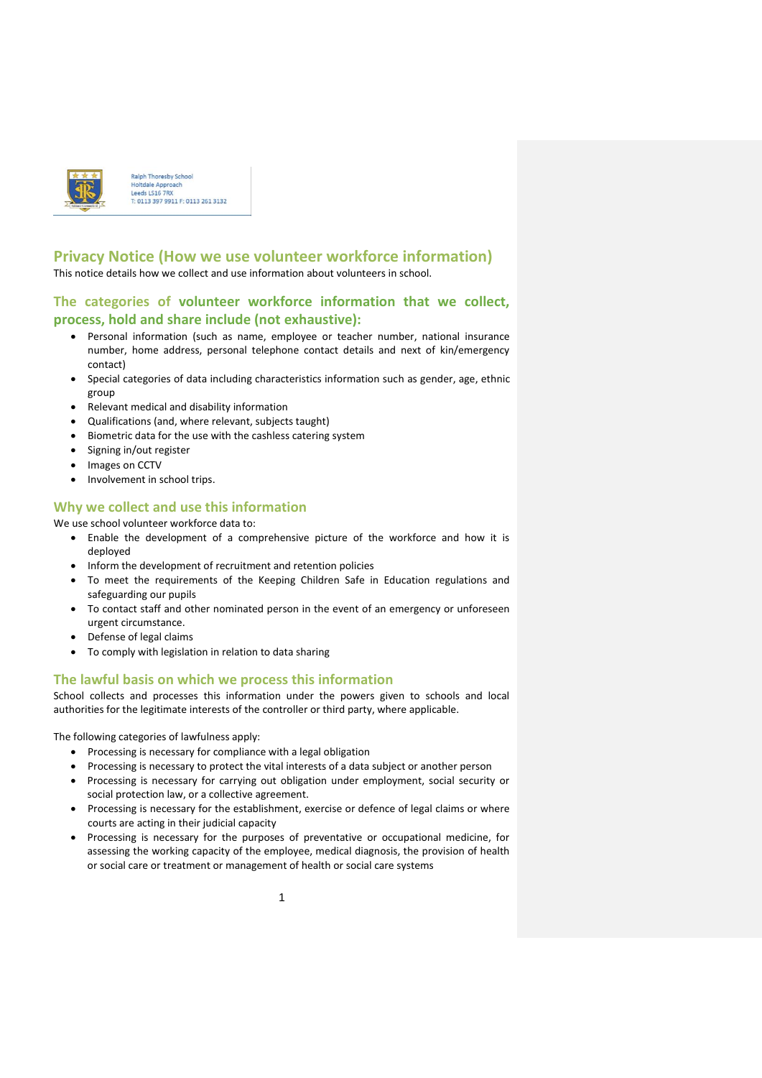

Ralph Thoresby Schoo **Holtdale Approach** Leeds LS16 7RX 0113 397 9911 F: 0113 261 3132

### **Privacy Notice (How we use volunteer workforce information)** This notice details how we collect and use information about volunteers in school.

# **The categories of volunteer workforce information that we collect, process, hold and share include (not exhaustive):**

- Personal information (such as name, employee or teacher number, national insurance number, home address, personal telephone contact details and next of kin/emergency contact)
- Special categories of data including characteristics information such as gender, age, ethnic group
- Relevant medical and disability information
- Qualifications (and, where relevant, subjects taught)
- Biometric data for the use with the cashless catering system
- Signing in/out register
- Images on CCTV
- Involvement in school trips.

## **Why we collect and use this information**

We use school volunteer workforce data to:

- Enable the development of a comprehensive picture of the workforce and how it is deployed
- Inform the development of recruitment and retention policies
- To meet the requirements of the Keeping Children Safe in Education regulations and safeguarding our pupils
- To contact staff and other nominated person in the event of an emergency or unforeseen urgent circumstance.
- Defense of legal claims
- To comply with legislation in relation to data sharing

### **The lawful basis on which we process this information**

School collects and processes this information under the powers given to schools and local authorities for the legitimate interests of the controller or third party, where applicable.

The following categories of lawfulness apply:

- Processing is necessary for compliance with a legal obligation
- Processing is necessary to protect the vital interests of a data subject or another person
- Processing is necessary for carrying out obligation under employment, social security or social protection law, or a collective agreement.
- Processing is necessary for the establishment, exercise or defence of legal claims or where courts are acting in their judicial capacity
- Processing is necessary for the purposes of preventative or occupational medicine, for assessing the working capacity of the employee, medical diagnosis, the provision of health or social care or treatment or management of health or social care systems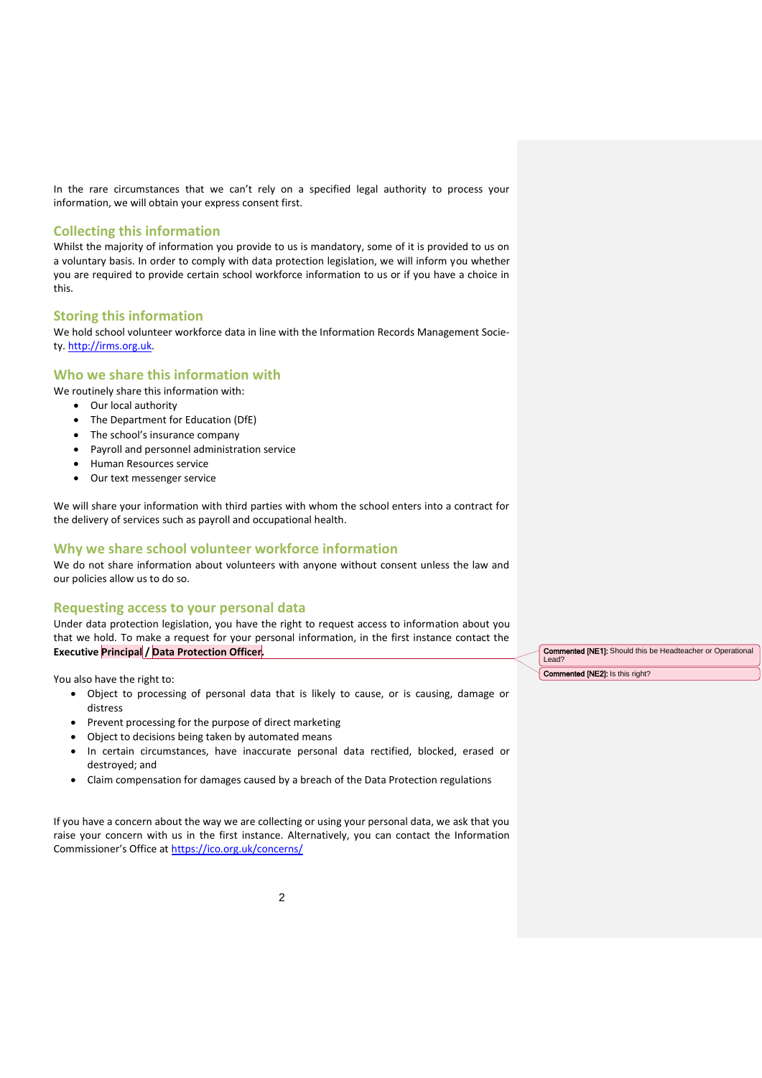In the rare circumstances that we can't rely on a specified legal authority to process your information, we will obtain your express consent first.

### **Collecting this information**

Whilst the majority of information you provide to us is mandatory, some of it is provided to us on a voluntary basis. In order to comply with data protection legislation, we will inform you whether you are required to provide certain school workforce information to us or if you have a choice in this.

#### **Storing this information**

We hold school volunteer workforce data in line with the Information Records Management Society[. http://irms.org.uk.](http://irms.org.uk/)

## **Who we share this information with**

We routinely share this information with:

- Our local authority
- The Department for Education (DfE)
- The school's insurance company
- Payroll and personnel administration service
- Human Resources service
- Our text messenger service

We will share your information with third parties with whom the school enters into a contract for the delivery of services such as payroll and occupational health.

# **Why we share school volunteer workforce information**

We do not share information about volunteers with anyone without consent unless the law and our policies allow us to do so.

### **Requesting access to your personal data**

Under data protection legislation, you have the right to request access to information about you that we hold. To make a request for your personal information, in the first instance contact the **Executive Principal / Data Protection Officer.** 

You also have the right to:

- Object to processing of personal data that is likely to cause, or is causing, damage or distress
- Prevent processing for the purpose of direct marketing
- Object to decisions being taken by automated means
- In certain circumstances, have inaccurate personal data rectified, blocked, erased or destroyed; and
- Claim compensation for damages caused by a breach of the Data Protection regulations

If you have a concern about the way we are collecting or using your personal data, we ask that you raise your concern with us in the first instance. Alternatively, you can contact the Information Commissioner's Office at <https://ico.org.uk/concerns/>

Commented [NE1]: Should this be Headteacher or Operational Lead?

Commented [NE2]: Is this right?